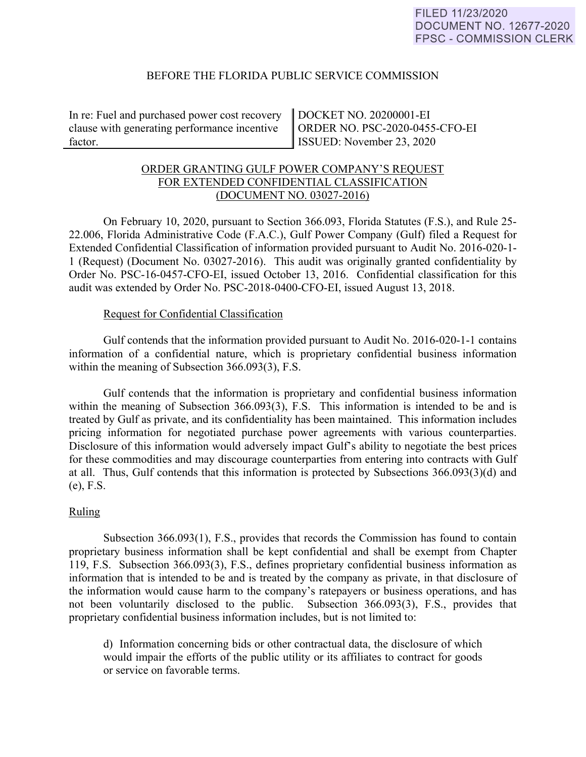### BEFORE THE FLORIDA PUBLIC SERVICE COMMISSION

In re: Fuel and purchased power cost recovery clause with generating performance incentive factor.

DOCKET NO. 20200001-EI ORDER NO. PSC-2020-0455-CFO-EI ISSUED: November 23, 2020

## ORDER GRANTING GULF POWER COMPANY'S REQUEST FOR EXTENDED CONFIDENTIAL CLASSIFICATION (DOCUMENT NO. 03027-2016)

 On February 10, 2020, pursuant to Section 366.093, Florida Statutes (F.S.), and Rule 25- 22.006, Florida Administrative Code (F.A.C.), Gulf Power Company (Gulf) filed a Request for Extended Confidential Classification of information provided pursuant to Audit No. 2016-020-1- 1 (Request) (Document No. 03027-2016). This audit was originally granted confidentiality by Order No. PSC-16-0457-CFO-EI, issued October 13, 2016. Confidential classification for this audit was extended by Order No. PSC-2018-0400-CFO-EI, issued August 13, 2018.

#### Request for Confidential Classification

 Gulf contends that the information provided pursuant to Audit No. 2016-020-1-1 contains information of a confidential nature, which is proprietary confidential business information within the meaning of Subsection 366.093(3), F.S.

Gulf contends that the information is proprietary and confidential business information within the meaning of Subsection 366.093(3), F.S. This information is intended to be and is treated by Gulf as private, and its confidentiality has been maintained. This information includes pricing information for negotiated purchase power agreements with various counterparties. Disclosure of this information would adversely impact Gulf's ability to negotiate the best prices for these commodities and may discourage counterparties from entering into contracts with Gulf at all. Thus, Gulf contends that this information is protected by Subsections 366.093(3)(d) and (e), F.S.

## Ruling

Subsection 366.093(1), F.S., provides that records the Commission has found to contain proprietary business information shall be kept confidential and shall be exempt from Chapter 119, F.S. Subsection 366.093(3), F.S., defines proprietary confidential business information as information that is intended to be and is treated by the company as private, in that disclosure of the information would cause harm to the company's ratepayers or business operations, and has not been voluntarily disclosed to the public. Subsection 366.093(3), F.S., provides that proprietary confidential business information includes, but is not limited to:

d) Information concerning bids or other contractual data, the disclosure of which would impair the efforts of the public utility or its affiliates to contract for goods or service on favorable terms.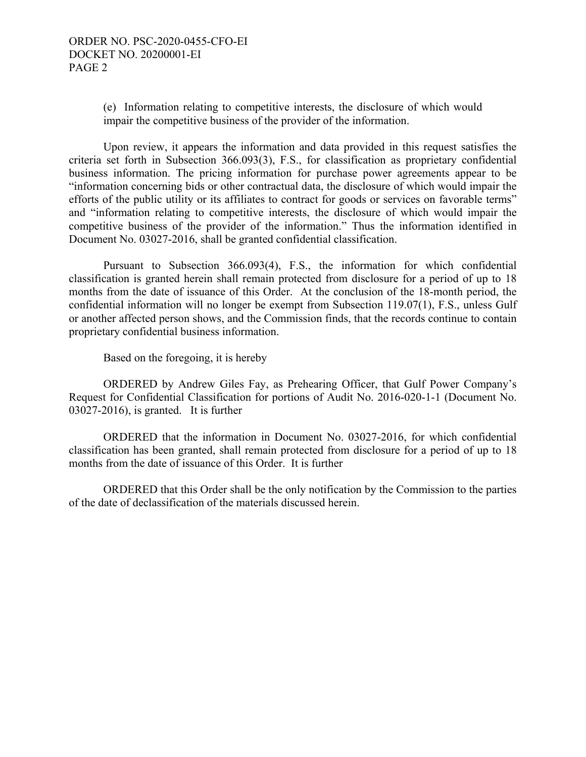(e) Information relating to competitive interests, the disclosure of which would impair the competitive business of the provider of the information.

 Upon review, it appears the information and data provided in this request satisfies the criteria set forth in Subsection 366.093(3), F.S., for classification as proprietary confidential business information. The pricing information for purchase power agreements appear to be "information concerning bids or other contractual data, the disclosure of which would impair the efforts of the public utility or its affiliates to contract for goods or services on favorable terms" and "information relating to competitive interests, the disclosure of which would impair the competitive business of the provider of the information." Thus the information identified in Document No. 03027-2016, shall be granted confidential classification.

Pursuant to Subsection 366.093(4), F.S., the information for which confidential classification is granted herein shall remain protected from disclosure for a period of up to 18 months from the date of issuance of this Order. At the conclusion of the 18-month period, the confidential information will no longer be exempt from Subsection 119.07(1), F.S., unless Gulf or another affected person shows, and the Commission finds, that the records continue to contain proprietary confidential business information.

Based on the foregoing, it is hereby

 ORDERED by Andrew Giles Fay, as Prehearing Officer, that Gulf Power Company's Request for Confidential Classification for portions of Audit No. 2016-020-1-1 (Document No. 03027-2016), is granted. It is further

 ORDERED that the information in Document No. 03027-2016, for which confidential classification has been granted, shall remain protected from disclosure for a period of up to 18 months from the date of issuance of this Order. It is further

 ORDERED that this Order shall be the only notification by the Commission to the parties of the date of declassification of the materials discussed herein.